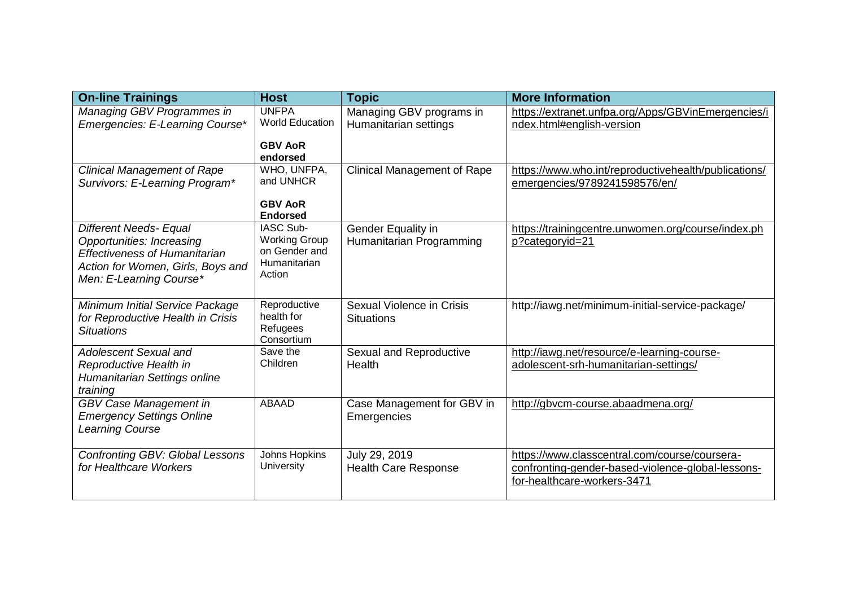| <b>On-line Trainings</b>                                                                                                                                                  | <b>Host</b>                                                                         | <b>Topic</b>                                      | <b>More Information</b>                                                                                                           |
|---------------------------------------------------------------------------------------------------------------------------------------------------------------------------|-------------------------------------------------------------------------------------|---------------------------------------------------|-----------------------------------------------------------------------------------------------------------------------------------|
| Managing GBV Programmes in<br>Emergencies: E-Learning Course*                                                                                                             | <b>UNFPA</b><br><b>World Education</b><br><b>GBV AoR</b>                            | Managing GBV programs in<br>Humanitarian settings | https://extranet.unfpa.org/Apps/GBVinEmergencies/i<br>ndex.html#english-version                                                   |
| <b>Clinical Management of Rape</b><br>Survivors: E-Learning Program*                                                                                                      | endorsed<br>WHO, UNFPA,<br>and UNHCR<br><b>GBV AoR</b><br><b>Endorsed</b>           | <b>Clinical Management of Rape</b>                | https://www.who.int/reproductivehealth/publications/<br>emergencies/9789241598576/en/                                             |
| <b>Different Needs- Equal</b><br><b>Opportunities: Increasing</b><br><b>Effectiveness of Humanitarian</b><br>Action for Women, Girls, Boys and<br>Men: E-Learning Course* | <b>IASC Sub-</b><br><b>Working Group</b><br>on Gender and<br>Humanitarian<br>Action | Gender Equality in<br>Humanitarian Programming    | https://trainingcentre.unwomen.org/course/index.ph<br>p?categoryid=21                                                             |
| Minimum Initial Service Package<br>for Reproductive Health in Crisis<br><b>Situations</b>                                                                                 | Reproductive<br>health for<br>Refugees<br>Consortium                                | Sexual Violence in Crisis<br><b>Situations</b>    | http://iawg.net/minimum-initial-service-package/                                                                                  |
| <b>Adolescent Sexual and</b><br>Reproductive Health in<br>Humanitarian Settings online<br>training                                                                        | Save the<br>Children                                                                | Sexual and Reproductive<br>Health                 | http://iawg.net/resource/e-learning-course-<br>adolescent-srh-humanitarian-settings/                                              |
| GBV Case Management in<br><b>Emergency Settings Online</b><br><b>Learning Course</b>                                                                                      | <b>ABAAD</b>                                                                        | Case Management for GBV in<br>Emergencies         | http://gbvcm-course.abaadmena.org/                                                                                                |
| <b>Confronting GBV: Global Lessons</b><br>for Healthcare Workers                                                                                                          | Johns Hopkins<br>University                                                         | July 29, 2019<br><b>Health Care Response</b>      | https://www.classcentral.com/course/coursera-<br>confronting-gender-based-violence-global-lessons-<br>for-healthcare-workers-3471 |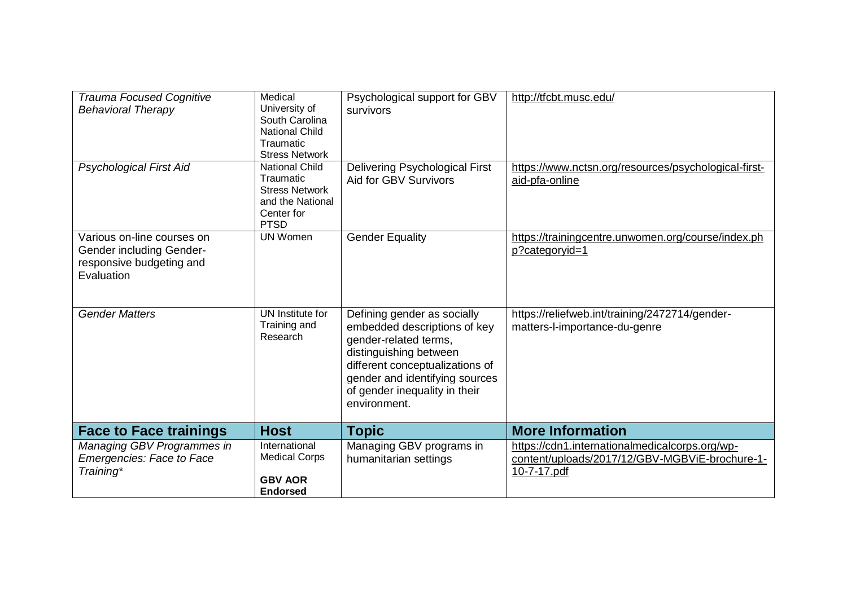| <b>Trauma Focused Cognitive</b><br><b>Behavioral Therapy</b>                                            | Medical<br>University of<br>South Carolina<br><b>National Child</b><br>Traumatic<br><b>Stress Network</b>    | Psychological support for GBV<br>survivors                                                                                                                                                                                           | http://tfcbt.musc.edu/                                                                                          |
|---------------------------------------------------------------------------------------------------------|--------------------------------------------------------------------------------------------------------------|--------------------------------------------------------------------------------------------------------------------------------------------------------------------------------------------------------------------------------------|-----------------------------------------------------------------------------------------------------------------|
| <b>Psychological First Aid</b>                                                                          | <b>National Child</b><br>Traumatic<br><b>Stress Network</b><br>and the National<br>Center for<br><b>PTSD</b> | <b>Delivering Psychological First</b><br>Aid for GBV Survivors                                                                                                                                                                       | https://www.nctsn.org/resources/psychological-first-<br>aid-pfa-online                                          |
| Various on-line courses on<br><b>Gender including Gender-</b><br>responsive budgeting and<br>Evaluation | <b>UN Women</b>                                                                                              | <b>Gender Equality</b>                                                                                                                                                                                                               | https://trainingcentre.unwomen.org/course/index.ph<br>p?categoryid=1                                            |
| <b>Gender Matters</b>                                                                                   | UN Institute for<br>Training and<br>Research                                                                 | Defining gender as socially<br>embedded descriptions of key<br>gender-related terms,<br>distinguishing between<br>different conceptualizations of<br>gender and identifying sources<br>of gender inequality in their<br>environment. | https://reliefweb.int/training/2472714/gender-<br>matters-l-importance-du-genre                                 |
| <b>Face to Face trainings</b>                                                                           | <b>Host</b>                                                                                                  | <b>Topic</b>                                                                                                                                                                                                                         | <b>More Information</b>                                                                                         |
| Managing GBV Programmes in<br>Emergencies: Face to Face<br>Training*                                    | International<br><b>Medical Corps</b><br><b>GBV AOR</b><br><b>Endorsed</b>                                   | Managing GBV programs in<br>humanitarian settings                                                                                                                                                                                    | https://cdn1.internationalmedicalcorps.org/wp-<br>content/uploads/2017/12/GBV-MGBViE-brochure-1-<br>10-7-17.pdf |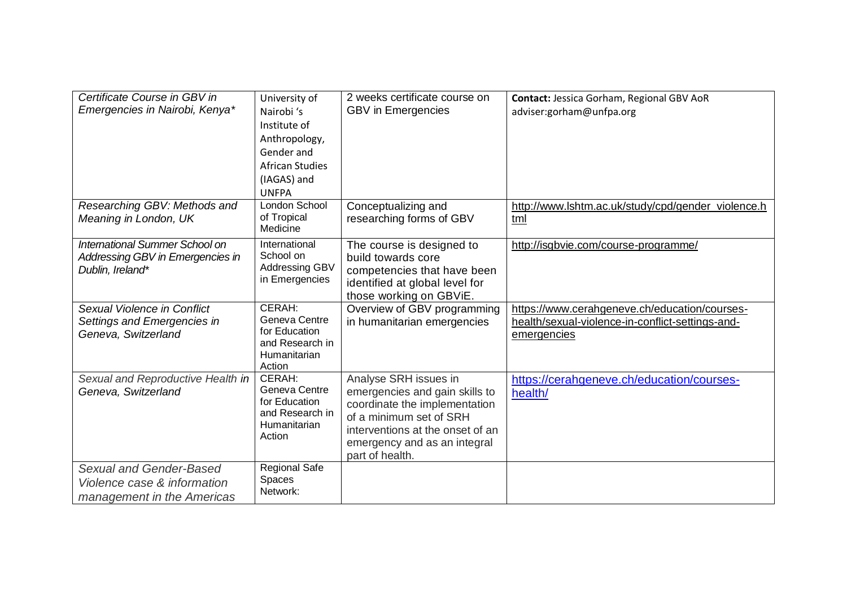| Certificate Course in GBV in<br>Emergencies in Nairobi, Kenya*                         | University of<br>Nairobi 's<br>Institute of<br>Anthropology,<br>Gender and<br><b>African Studies</b><br>(IAGAS) and<br><b>UNFPA</b> | 2 weeks certificate course on<br><b>GBV</b> in Emergencies                                                                                                                                                 | Contact: Jessica Gorham, Regional GBV AoR<br>adviser:gorham@unfpa.org                                            |
|----------------------------------------------------------------------------------------|-------------------------------------------------------------------------------------------------------------------------------------|------------------------------------------------------------------------------------------------------------------------------------------------------------------------------------------------------------|------------------------------------------------------------------------------------------------------------------|
| Researching GBV: Methods and<br>Meaning in London, UK                                  | London School<br>of Tropical<br>Medicine                                                                                            | Conceptualizing and<br>researching forms of GBV                                                                                                                                                            | http://www.lshtm.ac.uk/study/cpd/gender_violence.h<br>tml                                                        |
| International Summer School on<br>Addressing GBV in Emergencies in<br>Dublin, Ireland* | International<br>School on<br>Addressing GBV<br>in Emergencies                                                                      | The course is designed to<br>build towards core<br>competencies that have been<br>identified at global level for<br>those working on GBViE.                                                                | http://isgbvie.com/course-programme/                                                                             |
| Sexual Violence in Conflict<br>Settings and Emergencies in<br>Geneva, Switzerland      | CERAH:<br>Geneva Centre<br>for Education<br>and Research in<br>Humanitarian<br>Action                                               | Overview of GBV programming<br>in humanitarian emergencies                                                                                                                                                 | https://www.cerahgeneve.ch/education/courses-<br>health/sexual-violence-in-conflict-settings-and-<br>emergencies |
| Sexual and Reproductive Health in<br>Geneva, Switzerland                               | CERAH:<br>Geneva Centre<br>for Education<br>and Research in<br>Humanitarian<br>Action                                               | Analyse SRH issues in<br>emergencies and gain skills to<br>coordinate the implementation<br>of a minimum set of SRH<br>interventions at the onset of an<br>emergency and as an integral<br>part of health. | https://cerahgeneve.ch/education/courses-<br>health/                                                             |
| Sexual and Gender-Based<br>Violence case & information<br>management in the Americas   | <b>Regional Safe</b><br>Spaces<br>Network:                                                                                          |                                                                                                                                                                                                            |                                                                                                                  |